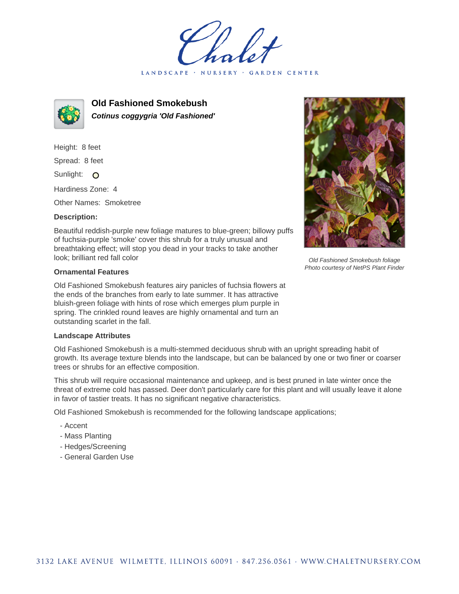LANDSCAPE · NURSERY · GARDEN CENTER



**Old Fashioned Smokebush Cotinus coggygria 'Old Fashioned'**

Height: 8 feet Spread: 8 feet Sunlight: O Hardiness Zone: 4

Other Names: Smoketree

## **Description:**

Beautiful reddish-purple new foliage matures to blue-green; billowy puffs of fuchsia-purple 'smoke' cover this shrub for a truly unusual and breathtaking effect; will stop you dead in your tracks to take another look; brilliant red fall color

## **Ornamental Features**

Old Fashioned Smokebush features airy panicles of fuchsia flowers at the ends of the branches from early to late summer. It has attractive bluish-green foliage with hints of rose which emerges plum purple in spring. The crinkled round leaves are highly ornamental and turn an outstanding scarlet in the fall.

## **Landscape Attributes**

Old Fashioned Smokebush is a multi-stemmed deciduous shrub with an upright spreading habit of growth. Its average texture blends into the landscape, but can be balanced by one or two finer or coarser trees or shrubs for an effective composition.

This shrub will require occasional maintenance and upkeep, and is best pruned in late winter once the threat of extreme cold has passed. Deer don't particularly care for this plant and will usually leave it alone in favor of tastier treats. It has no significant negative characteristics.

Old Fashioned Smokebush is recommended for the following landscape applications;

- Accent
- Mass Planting
- Hedges/Screening
- General Garden Use



Old Fashioned Smokebush foliage Photo courtesy of NetPS Plant Finder